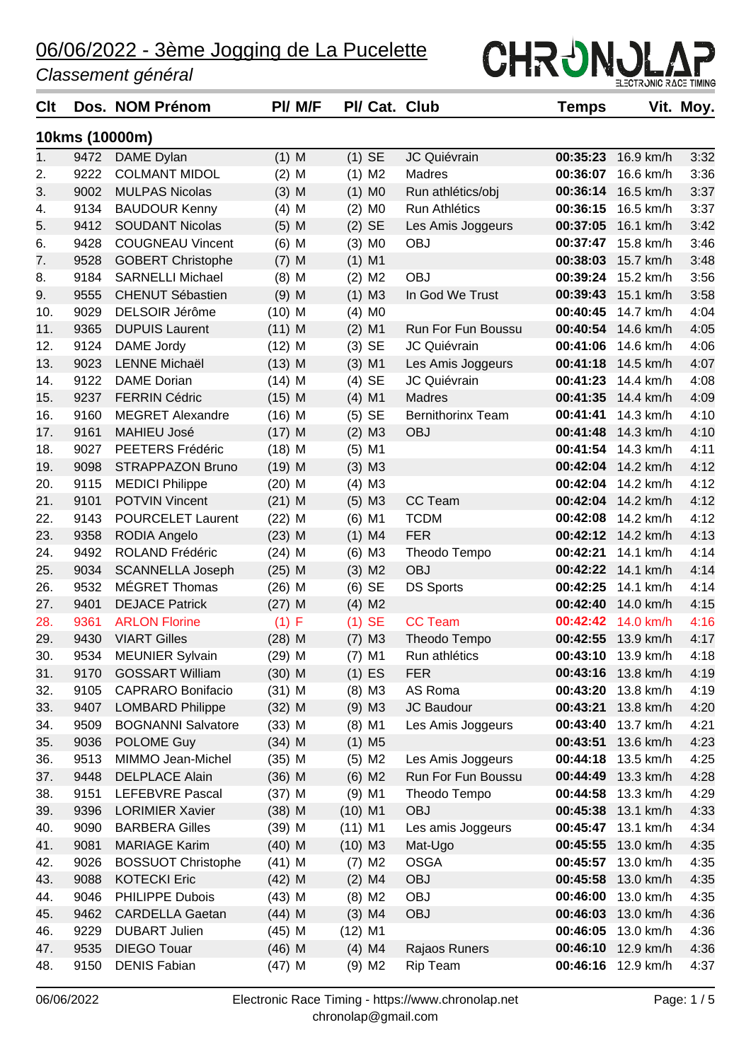#### *Classement général*

| Clt |      | Dos. NOM Prénom           |          | PI/ M/F |           |                      | PI/ Cat. Club            | <b>Temps</b> |           | Vit. Moy. |
|-----|------|---------------------------|----------|---------|-----------|----------------------|--------------------------|--------------|-----------|-----------|
|     |      | 10kms (10000m)            |          |         |           |                      |                          |              |           |           |
| 1.  | 9472 | DAME Dylan                | $(1)$ M  |         |           | $(1)$ SE             | JC Quiévrain             | 00:35:23     | 16.9 km/h | 3:32      |
| 2.  | 9222 | <b>COLMANT MIDOL</b>      | $(2)$ M  |         |           | $(1)$ M2             | Madres                   | 00:36:07     | 16.6 km/h | 3:36      |
| 3.  | 9002 | <b>MULPAS Nicolas</b>     | $(3)$ M  |         |           | $(1)$ MO             | Run athlétics/obj        | 00:36:14     | 16.5 km/h | 3:37      |
| 4.  | 9134 | <b>BAUDOUR Kenny</b>      | $(4)$ M  |         |           | $(2)$ M <sub>0</sub> | Run Athlétics            | 00:36:15     | 16.5 km/h | 3:37      |
| 5.  | 9412 | <b>SOUDANT Nicolas</b>    | $(5)$ M  |         |           | $(2)$ SE             | Les Amis Joggeurs        | 00:37:05     | 16.1 km/h | 3:42      |
| 6.  | 9428 | <b>COUGNEAU Vincent</b>   | $(6)$ M  |         |           | $(3)$ MO             | <b>OBJ</b>               | 00:37:47     | 15.8 km/h | 3:46      |
| 7.  | 9528 | <b>GOBERT Christophe</b>  | $(7)$ M  |         |           | $(1)$ M1             |                          | 00:38:03     | 15.7 km/h | 3:48      |
| 8.  | 9184 | <b>SARNELLI Michael</b>   | $(8)$ M  |         |           | $(2)$ M <sub>2</sub> | <b>OBJ</b>               | 00:39:24     | 15.2 km/h | 3:56      |
| 9.  | 9555 | <b>CHENUT Sébastien</b>   | $(9)$ M  |         |           | $(1)$ M3             | In God We Trust          | 00:39:43     | 15.1 km/h | 3:58      |
| 10. | 9029 | <b>DELSOIR Jérôme</b>     | $(10)$ M |         | (4)       | M <sub>0</sub>       |                          | 00:40:45     | 14.7 km/h | 4:04      |
| 11. | 9365 | <b>DUPUIS Laurent</b>     | $(11)$ M |         |           | $(2)$ M1             | Run For Fun Boussu       | 00:40:54     | 14.6 km/h | 4:05      |
| 12. | 9124 | DAME Jordy                | $(12)$ M |         |           | $(3)$ SE             | JC Quiévrain             | 00:41:06     | 14.6 km/h | 4:06      |
| 13. | 9023 | <b>LENNE Michaël</b>      | $(13)$ M |         |           | $(3)$ M1             | Les Amis Joggeurs        | 00:41:18     | 14.5 km/h | 4:07      |
| 14. | 9122 | <b>DAME</b> Dorian        | $(14)$ M |         |           | $(4)$ SE             | JC Quiévrain             | 00:41:23     | 14.4 km/h | 4:08      |
| 15. | 9237 | <b>FERRIN Cédric</b>      | $(15)$ M |         |           | $(4)$ M1             | Madres                   | 00:41:35     | 14.4 km/h | 4:09      |
| 16. | 9160 | <b>MEGRET Alexandre</b>   | $(16)$ M |         |           | $(5)$ SE             | <b>Bernithorinx Team</b> | 00:41:41     | 14.3 km/h | 4:10      |
| 17. | 9161 | <b>MAHIEU José</b>        | $(17)$ M |         |           | $(2)$ M3             | <b>OBJ</b>               | 00:41:48     | 14.3 km/h | 4:10      |
| 18. | 9027 | PEETERS Frédéric          | $(18)$ M |         |           | $(5)$ M1             |                          | 00:41:54     | 14.3 km/h | 4:11      |
| 19. | 9098 | <b>STRAPPAZON Bruno</b>   | $(19)$ M |         |           | $(3)$ M3             |                          | 00:42:04     | 14.2 km/h | 4:12      |
| 20. | 9115 | <b>MEDICI Philippe</b>    | $(20)$ M |         |           | $(4)$ M3             |                          | 00:42:04     | 14.2 km/h | 4:12      |
| 21. | 9101 | <b>POTVIN Vincent</b>     | $(21)$ M |         |           | $(5)$ M3             | CC Team                  | 00:42:04     | 14.2 km/h | 4:12      |
| 22. | 9143 | <b>POURCELET Laurent</b>  | $(22)$ M |         |           | $(6)$ M1             | <b>TCDM</b>              | 00:42:08     | 14.2 km/h | 4:12      |
| 23. | 9358 | <b>RODIA Angelo</b>       | $(23)$ M |         |           | $(1)$ M4             | <b>FER</b>               | 00:42:12     | 14.2 km/h | 4:13      |
| 24. | 9492 | ROLAND Frédéric           | $(24)$ M |         |           | $(6)$ M3             | Theodo Tempo             | 00:42:21     | 14.1 km/h | 4:14      |
| 25. | 9034 | <b>SCANNELLA Joseph</b>   | $(25)$ M |         |           | $(3)$ M2             | <b>OBJ</b>               | 00:42:22     | 14.1 km/h | 4:14      |
| 26. | 9532 | MÉGRET Thomas             | $(26)$ M |         |           | $(6)$ SE             | <b>DS Sports</b>         | 00:42:25     | 14.1 km/h | 4:14      |
| 27. | 9401 | <b>DEJACE Patrick</b>     | $(27)$ M |         |           | $(4)$ M2             |                          | 00:42:40     | 14.0 km/h | 4:15      |
| 28. | 9361 | <b>ARLON Florine</b>      | $(1)$ F  |         |           | $(1)$ SE             | <b>CC Team</b>           | 00:42:42     | 14.0 km/h | 4:16      |
| 29. | 9430 | <b>VIART Gilles</b>       | $(28)$ M |         |           | $(7)$ M3             | Theodo Tempo             | 00:42:55     | 13.9 km/h | 4:17      |
| 30. | 9534 | <b>MEUNIER Sylvain</b>    | (29) M   |         |           | $(7)$ M1             | Run athlétics            | 00:43:10     | 13.9 km/h | 4:18      |
| 31. | 9170 | <b>GOSSART William</b>    | $(30)$ M |         |           | $(1)$ ES             | <b>FER</b>               | 00:43:16     | 13.8 km/h | 4:19      |
| 32. | 9105 | <b>CAPRARO Bonifacio</b>  | $(31)$ M |         |           | $(8)$ M3             | AS Roma                  | 00:43:20     | 13.8 km/h | 4:19      |
| 33. | 9407 | <b>LOMBARD Philippe</b>   | $(32)$ M |         |           | $(9)$ M3             | JC Baudour               | 00:43:21     | 13.8 km/h | 4:20      |
| 34. | 9509 | <b>BOGNANNI Salvatore</b> | $(33)$ M |         |           | $(8)$ M1             | Les Amis Joggeurs        | 00:43:40     | 13.7 km/h | 4:21      |
| 35. | 9036 | POLOME Guy                | $(34)$ M |         |           | $(1)$ M <sub>5</sub> |                          | 00:43:51     | 13.6 km/h | 4:23      |
| 36. | 9513 | MIMMO Jean-Michel         | $(35)$ M |         |           | $(5)$ M2             | Les Amis Joggeurs        | 00:44:18     | 13.5 km/h | 4:25      |
| 37. | 9448 | <b>DELPLACE Alain</b>     | $(36)$ M |         |           | $(6)$ M2             | Run For Fun Boussu       | 00:44:49     | 13.3 km/h | 4:28      |
| 38. | 9151 | <b>LEFEBVRE Pascal</b>    | $(37)$ M |         |           | $(9)$ M1             | Theodo Tempo             | 00:44:58     | 13.3 km/h | 4:29      |
| 39. | 9396 | <b>LORIMIER Xavier</b>    | $(38)$ M |         | $(10)$ M1 |                      | <b>OBJ</b>               | 00:45:38     | 13.1 km/h | 4:33      |
| 40. | 9090 | <b>BARBERA Gilles</b>     | $(39)$ M |         | $(11)$ M1 |                      | Les amis Joggeurs        | 00:45:47     | 13.1 km/h | 4:34      |
| 41. | 9081 | <b>MARIAGE Karim</b>      | $(40)$ M |         | $(10)$ M3 |                      | Mat-Ugo                  | 00:45:55     | 13.0 km/h | 4:35      |
| 42. | 9026 | <b>BOSSUOT Christophe</b> | $(41)$ M |         |           | $(7)$ M2             | <b>OSGA</b>              | 00:45:57     | 13.0 km/h | 4:35      |
| 43. | 9088 | <b>KOTECKI Eric</b>       | $(42)$ M |         |           | $(2)$ M4             | <b>OBJ</b>               | 00:45:58     | 13.0 km/h | 4:35      |
| 44. | 9046 | PHILIPPE Dubois           | $(43)$ M |         |           | $(8)$ M2             | <b>OBJ</b>               | 00:46:00     | 13.0 km/h | 4:35      |
| 45. | 9462 | <b>CARDELLA Gaetan</b>    | $(44)$ M |         |           | $(3)$ M4             | OBJ                      | 00:46:03     | 13.0 km/h | 4:36      |
| 46. | 9229 | <b>DUBART Julien</b>      | $(45)$ M |         | $(12)$ M1 |                      |                          | 00:46:05     | 13.0 km/h | 4:36      |
| 47. | 9535 | <b>DIEGO Touar</b>        | $(46)$ M |         |           | $(4)$ M4             | Rajaos Runers            | 00:46:10     | 12.9 km/h | 4:36      |
| 48. | 9150 | <b>DENIS Fabian</b>       | $(47)$ M |         |           | $(9)$ M2             | <b>Rip Team</b>          | 00:46:16     | 12.9 km/h | 4:37      |

CHRUNULAP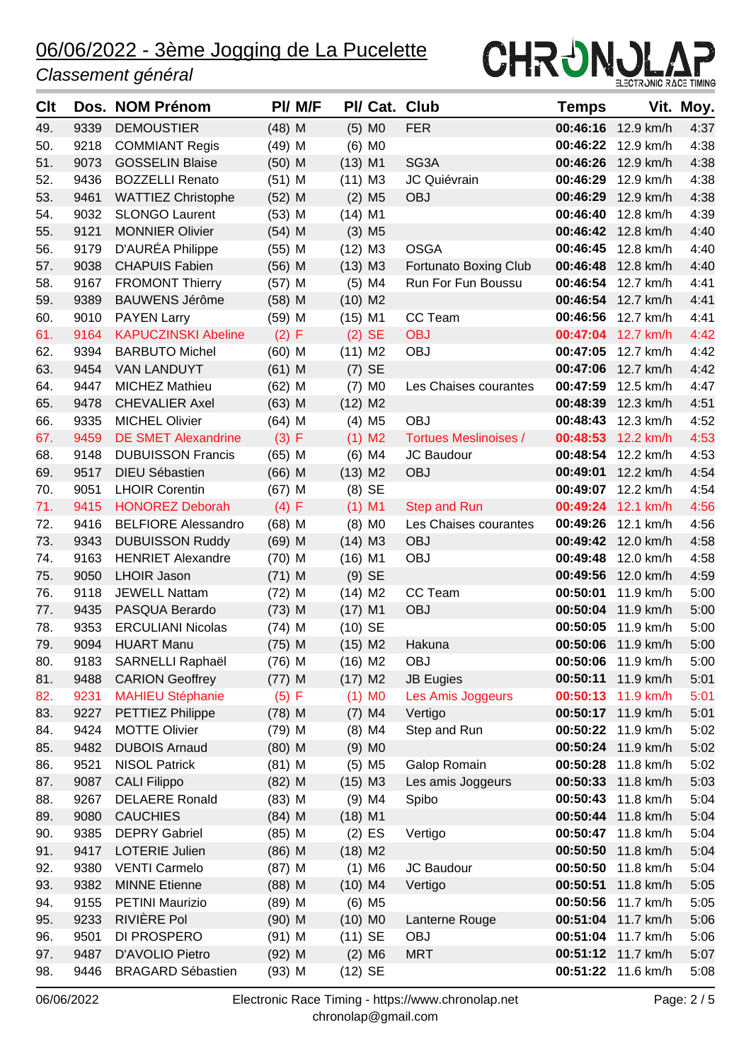#### *Classement général*



| Clt |      | Dos. NOM Prénom            |          | PI/ M/F |           |                      | PI/ Cat. Club                | Temps    |                    | Vit. Moy. |
|-----|------|----------------------------|----------|---------|-----------|----------------------|------------------------------|----------|--------------------|-----------|
| 49. | 9339 | <b>DEMOUSTIER</b>          | $(48)$ M |         |           | $(5)$ MO             | <b>FER</b>                   |          | 00:46:16 12.9 km/h | 4:37      |
| 50. | 9218 | <b>COMMIANT Regis</b>      | $(49)$ M |         |           | $(6)$ MO             |                              | 00:46:22 | 12.9 km/h          | 4:38      |
| 51. | 9073 | <b>GOSSELIN Blaise</b>     | $(50)$ M |         | $(13)$ M1 |                      | SG3A                         | 00:46:26 | 12.9 km/h          | 4:38      |
| 52. | 9436 | <b>BOZZELLI Renato</b>     | $(51)$ M |         | $(11)$ M3 |                      | JC Quiévrain                 | 00:46:29 | 12.9 km/h          | 4:38      |
| 53. | 9461 | <b>WATTIEZ Christophe</b>  | $(52)$ M |         |           | $(2)$ M <sub>5</sub> | <b>OBJ</b>                   | 00:46:29 | 12.9 km/h          | 4:38      |
| 54. | 9032 | <b>SLONGO Laurent</b>      | $(53)$ M |         | $(14)$ M1 |                      |                              | 00:46:40 | 12.8 km/h          | 4:39      |
| 55. | 9121 | <b>MONNIER Olivier</b>     | $(54)$ M |         |           | $(3)$ M <sub>5</sub> |                              | 00:46:42 | 12.8 km/h          | 4:40      |
| 56. | 9179 | D'AURÉA Philippe           | $(55)$ M |         | $(12)$ M3 |                      | <b>OSGA</b>                  |          | 00:46:45 12.8 km/h | 4:40      |
| 57. | 9038 | <b>CHAPUIS Fabien</b>      | $(56)$ M |         | $(13)$ M3 |                      | <b>Fortunato Boxing Club</b> | 00:46:48 | 12.8 km/h          | 4:40      |
| 58. | 9167 | <b>FROMONT Thierry</b>     | $(57)$ M |         |           | $(5)$ M4             | Run For Fun Boussu           | 00:46:54 | 12.7 km/h          | 4:41      |
| 59. | 9389 | <b>BAUWENS Jérôme</b>      | $(58)$ M |         | $(10)$ M2 |                      |                              | 00:46:54 | 12.7 km/h          | 4:41      |
| 60. | 9010 | <b>PAYEN Larry</b>         | $(59)$ M |         | $(15)$ M1 |                      | CC Team                      |          | 00:46:56 12.7 km/h | 4:41      |
| 61. | 9164 | <b>KAPUCZINSKI Abeline</b> | (2) F    |         |           | $(2)$ SE             | <b>OBJ</b>                   |          | 00:47:04 12.7 km/h | 4:42      |
| 62. | 9394 | <b>BARBUTO Michel</b>      | $(60)$ M |         | $(11)$ M2 |                      | <b>OBJ</b>                   |          | 00:47:05 12.7 km/h | 4:42      |
| 63. | 9454 | <b>VAN LANDUYT</b>         | $(61)$ M |         |           | $(7)$ SE             |                              |          | 00:47:06 12.7 km/h | 4:42      |
| 64. | 9447 | <b>MICHEZ Mathieu</b>      | $(62)$ M |         |           | $(7)$ MO             | Les Chaises courantes        |          | 00:47:59 12.5 km/h | 4:47      |
| 65. | 9478 | <b>CHEVALIER Axel</b>      | $(63)$ M |         | $(12)$ M2 |                      |                              | 00:48:39 | 12.3 km/h          | 4:51      |
| 66. | 9335 | <b>MICHEL Olivier</b>      | $(64)$ M |         |           | $(4)$ M <sub>5</sub> | <b>OBJ</b>                   | 00:48:43 | 12.3 km/h          | 4:52      |
| 67. | 9459 | <b>DE SMET Alexandrine</b> | (3) F    |         |           | $(1)$ M2             | <b>Tortues Meslinoises /</b> |          | 00:48:53 12.2 km/h | 4:53      |
| 68. | 9148 | <b>DUBUISSON Francis</b>   | $(65)$ M |         |           | $(6)$ M4             | JC Baudour                   |          | 00:48:54 12.2 km/h | 4:53      |
| 69. | 9517 | <b>DIEU Sébastien</b>      | $(66)$ M |         | $(13)$ M2 |                      | OBJ                          | 00:49:01 | 12.2 km/h          | 4:54      |
| 70. | 9051 | <b>LHOIR Corentin</b>      | $(67)$ M |         |           | $(8)$ SE             |                              | 00:49:07 | 12.2 km/h          | 4:54      |
| 71. | 9415 | <b>HONOREZ Deborah</b>     | (4) F    |         |           | $(1)$ M1             | <b>Step and Run</b>          |          | 00:49:24 12.1 km/h | 4:56      |
| 72. | 9416 | <b>BELFIORE Alessandro</b> | $(68)$ M |         |           | $(8)$ MO             | Les Chaises courantes        | 00:49:26 | 12.1 km/h          | 4:56      |
| 73. | 9343 | <b>DUBUISSON Ruddy</b>     | $(69)$ M |         | $(14)$ M3 |                      | <b>OBJ</b>                   | 00:49:42 | 12.0 km/h          | 4:58      |
| 74. | 9163 | <b>HENRIET Alexandre</b>   | $(70)$ M |         | $(16)$ M1 |                      | <b>OBJ</b>                   | 00:49:48 | 12.0 km/h          | 4:58      |
| 75. | 9050 | <b>LHOIR Jason</b>         | $(71)$ M |         |           | $(9)$ SE             |                              |          | 00:49:56 12.0 km/h | 4:59      |
| 76. | 9118 | <b>JEWELL Nattam</b>       | $(72)$ M |         | $(14)$ M2 |                      | CC Team                      | 00:50:01 | 11.9 km/h          | 5:00      |
| 77. | 9435 | PASQUA Berardo             | $(73)$ M |         | $(17)$ M1 |                      | OBJ                          | 00:50:04 | 11.9 km/h          | 5:00      |
| 78. | 9353 | <b>ERCULIANI Nicolas</b>   | $(74)$ M |         | $(10)$ SE |                      |                              |          | 00:50:05 11.9 km/h | 5:00      |
| 79. | 9094 | <b>HUART Manu</b>          | $(75)$ M |         | $(15)$ M2 |                      | Hakuna                       |          | 00:50:06 11.9 km/h | 5:00      |
| 80. | 9183 | SARNELLI Raphaël           | $(76)$ M |         | $(16)$ M2 |                      | OBJ                          |          | 00:50:06 11.9 km/h | 5:00      |
| 81. |      | 9488 CARION Geoffrey       | $(77)$ M |         | $(17)$ M2 |                      | <b>JB Eugies</b>             |          | 00:50:11 11.9 km/h | 5:01      |
| 82. | 9231 | <b>MAHIEU Stéphanie</b>    | (5) F    |         |           | $(1)$ MO             | Les Amis Joggeurs            |          | 00:50:13 11.9 km/h | 5:01      |
| 83. | 9227 | PETTIEZ Philippe           | $(78)$ M |         |           | $(7)$ M4             | Vertigo                      |          | 00:50:17 11.9 km/h | 5:01      |
| 84. | 9424 | <b>MOTTE Olivier</b>       | $(79)$ M |         |           | $(8)$ M4             | Step and Run                 |          | 00:50:22 11.9 km/h | 5:02      |
| 85. | 9482 | <b>DUBOIS Arnaud</b>       | $(80)$ M |         |           | $(9)$ MO             |                              |          | 00:50:24 11.9 km/h | 5:02      |
| 86. | 9521 | <b>NISOL Patrick</b>       | $(81)$ M |         |           | $(5)$ M5             | Galop Romain                 |          | 00:50:28 11.8 km/h | 5:02      |
| 87. | 9087 | <b>CALI Filippo</b>        | $(82)$ M |         | $(15)$ M3 |                      | Les amis Joggeurs            |          | 00:50:33 11.8 km/h | 5:03      |
| 88. | 9267 | <b>DELAERE Ronald</b>      | $(83)$ M |         |           | $(9)$ M4             | Spibo                        |          | 00:50:43 11.8 km/h | 5:04      |
| 89. | 9080 | <b>CAUCHIES</b>            | $(84)$ M |         | $(18)$ M1 |                      |                              |          | 00:50:44 11.8 km/h | 5:04      |
| 90. | 9385 | <b>DEPRY Gabriel</b>       | $(85)$ M |         |           | $(2)$ ES             | Vertigo                      |          | 00:50:47 11.8 km/h | 5:04      |
| 91. | 9417 | LOTERIE Julien             | $(86)$ M |         | $(18)$ M2 |                      |                              | 00:50:50 | 11.8 km/h          | 5:04      |
| 92. | 9380 | <b>VENTI Carmelo</b>       | $(87)$ M |         |           | $(1)$ M6             | JC Baudour                   | 00:50:50 | 11.8 km/h          | 5:04      |
| 93. | 9382 | <b>MINNE Etienne</b>       | $(88)$ M |         | $(10)$ M4 |                      | Vertigo                      |          | 00:50:51 11.8 km/h | 5:05      |
| 94. | 9155 | <b>PETINI Maurizio</b>     | $(89)$ M |         |           | $(6)$ M <sub>5</sub> |                              |          | 00:50:56 11.7 km/h | 5:05      |
| 95. | 9233 | RIVIÈRE Pol                | $(90)$ M |         | $(10)$ MO |                      | Lanterne Rouge               |          | 00:51:04 11.7 km/h | 5:06      |
| 96. | 9501 | DI PROSPERO                | $(91)$ M |         | $(11)$ SE |                      | <b>OBJ</b>                   |          | 00:51:04 11.7 km/h | 5:06      |
| 97. | 9487 | D'AVOLIO Pietro            | $(92)$ M |         |           | $(2)$ M6             | <b>MRT</b>                   |          | 00:51:12 11.7 km/h | 5:07      |
| 98. | 9446 | <b>BRAGARD Sébastien</b>   | $(93)$ M |         | $(12)$ SE |                      |                              |          | 00:51:22 11.6 km/h | 5:08      |
|     |      |                            |          |         |           |                      |                              |          |                    |           |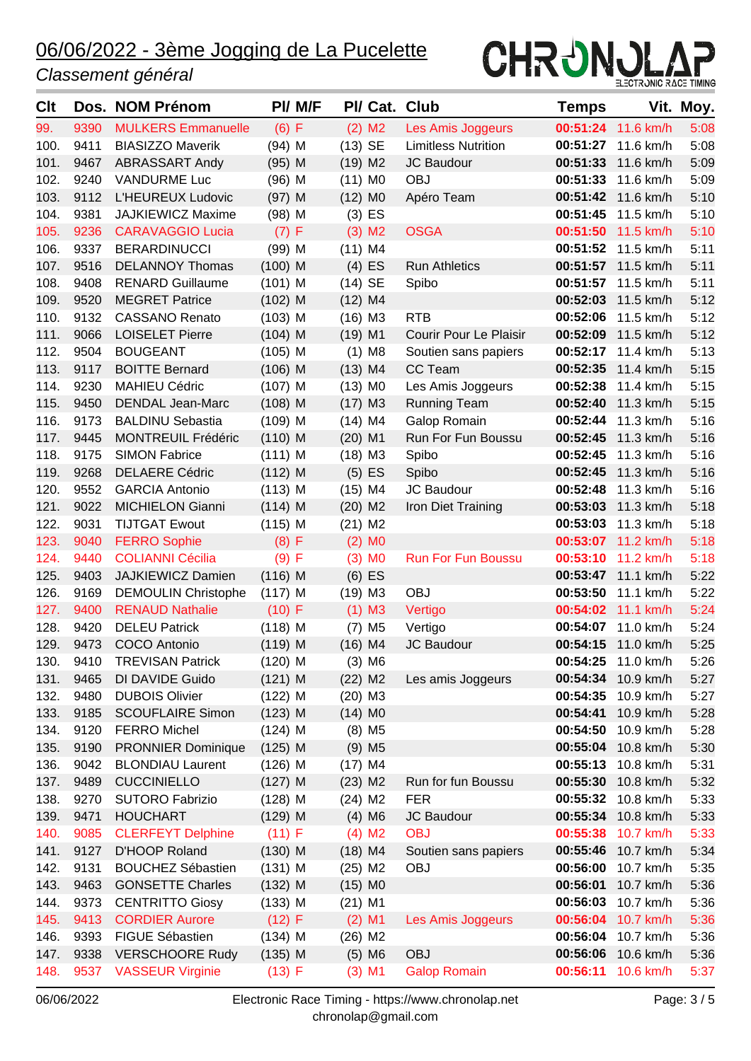#### *Classement général*



| Clt  |           | Dos. NOM Prénom            |           | PI/ M/F |           |                      | PI/ Cat. Club              | <b>Temps</b> |                      | Vit. Moy. |
|------|-----------|----------------------------|-----------|---------|-----------|----------------------|----------------------------|--------------|----------------------|-----------|
| 99.  | 9390      | <b>MULKERS Emmanuelle</b>  | (6) F     |         |           | $(2)$ M <sub>2</sub> | Les Amis Joggeurs          |              | 00:51:24 11.6 km/h   | 5:08      |
| 100. | 9411      | <b>BIASIZZO Maverik</b>    | $(94)$ M  |         | $(13)$ SE |                      | <b>Limitless Nutrition</b> | 00:51:27     | 11.6 km/h            | 5:08      |
| 101. | 9467      | <b>ABRASSART Andy</b>      | $(95)$ M  |         | $(19)$ M2 |                      | JC Baudour                 | 00:51:33     | 11.6 km/h            | 5:09      |
| 102. | 9240      | <b>VANDURME Luc</b>        | $(96)$ M  |         | $(11)$ MO |                      | <b>OBJ</b>                 | 00:51:33     | 11.6 km/h            | 5:09      |
| 103. | 9112      | L'HEUREUX Ludovic          | $(97)$ M  |         | $(12)$ MO |                      | Apéro Team                 |              | 00:51:42 11.6 km/h   | 5:10      |
| 104. | 9381      | JAJKIEWICZ Maxime          | $(98)$ M  |         |           | $(3)$ ES             |                            |              | 00:51:45 11.5 km/h   | 5:10      |
| 105. | 9236      | <b>CARAVAGGIO Lucia</b>    | (7) F     |         |           | $(3)$ M <sub>2</sub> | <b>OSGA</b>                | 00:51:50     | 11.5 km/h            | 5:10      |
| 106. | 9337      | <b>BERARDINUCCI</b>        | $(99)$ M  |         | $(11)$ M4 |                      |                            |              | 00:51:52 11.5 km/h   | 5:11      |
| 107. | 9516      | <b>DELANNOY Thomas</b>     | $(100)$ M |         |           | $(4)$ ES             | <b>Run Athletics</b>       |              | 00:51:57 11.5 km/h   | 5:11      |
| 108. | 9408      | <b>RENARD Guillaume</b>    | $(101)$ M |         | $(14)$ SE |                      | Spibo                      | 00:51:57     | 11.5 km/h            | 5:11      |
| 109. | 9520      | <b>MEGRET Patrice</b>      | $(102)$ M |         | $(12)$ M4 |                      |                            | 00:52:03     | 11.5 km/h            | 5:12      |
| 110. | 9132      | <b>CASSANO Renato</b>      | $(103)$ M |         | $(16)$ M3 |                      | <b>RTB</b>                 |              | 00:52:06 11.5 km/h   | 5:12      |
| 111. | 9066      | <b>LOISELET Pierre</b>     | $(104)$ M |         | $(19)$ M1 |                      | Courir Pour Le Plaisir     | 00:52:09     | 11.5 km/h            | 5:12      |
| 112. | 9504      | <b>BOUGEANT</b>            | $(105)$ M |         |           | $(1)$ M <sub>8</sub> | Soutien sans papiers       | 00:52:17     | 11.4 km/h            | 5:13      |
| 113. | 9117      | <b>BOITTE Bernard</b>      | $(106)$ M |         | $(13)$ M4 |                      | CC Team                    |              | 00:52:35 11.4 km/h   | 5:15      |
| 114. | 9230      | <b>MAHIEU Cédric</b>       | $(107)$ M |         | $(13)$ MO |                      | Les Amis Joggeurs          | 00:52:38     | 11.4 km/h            | 5:15      |
| 115. | 9450      | <b>DENDAL Jean-Marc</b>    | $(108)$ M |         | $(17)$ M3 |                      | <b>Running Team</b>        | 00:52:40     | 11.3 km/h            | 5:15      |
| 116. | 9173      | <b>BALDINU Sebastia</b>    | $(109)$ M |         | $(14)$ M4 |                      | Galop Romain               | 00:52:44     | 11.3 km/h            | 5:16      |
| 117. | 9445      | <b>MONTREUIL Frédéric</b>  | $(110)$ M |         | $(20)$ M1 |                      | Run For Fun Boussu         | 00:52:45     | 11.3 km/h            | 5:16      |
| 118. | 9175      | <b>SIMON Fabrice</b>       | $(111)$ M |         | $(18)$ M3 |                      | Spibo                      | 00:52:45     | 11.3 km/h            | 5:16      |
| 119. | 9268      | <b>DELAERE Cédric</b>      | $(112)$ M |         |           | $(5)$ ES             | Spibo                      | 00:52:45     | 11.3 km/h            | 5:16      |
| 120. | 9552      | <b>GARCIA Antonio</b>      | $(113)$ M |         | $(15)$ M4 |                      | JC Baudour                 | 00:52:48     | 11.3 km/h            | 5:16      |
| 121. | 9022      | <b>MICHIELON Gianni</b>    | $(114)$ M |         | $(20)$ M2 |                      | Iron Diet Training         | 00:53:03     | 11.3 km/h            | 5:18      |
| 122. | 9031      | <b>TIJTGAT Ewout</b>       | $(115)$ M |         | $(21)$ M2 |                      |                            | 00:53:03     | 11.3 km/h            | 5:18      |
| 123. | 9040      | <b>FERRO Sophie</b>        | (8) F     |         |           | $(2)$ MO             |                            |              | 00:53:07 11.2 km/h   | 5:18      |
| 124. | 9440      | <b>COLIANNI Cécilia</b>    | (9) F     |         |           | $(3)$ MO             | <b>Run For Fun Boussu</b>  |              | 00:53:10 11.2 km/h   | 5:18      |
| 125. | 9403      | <b>JAJKIEWICZ Damien</b>   | $(116)$ M |         |           | $(6)$ ES             |                            |              | 00:53:47 11.1 km/h   | 5:22      |
| 126. | 9169      | <b>DEMOULIN Christophe</b> | $(117)$ M |         | $(19)$ M3 |                      | <b>OBJ</b>                 |              | 00:53:50 11.1 km/h   | 5:22      |
| 127. | 9400      | <b>RENAUD Nathalie</b>     | (10) F    |         |           | $(1)$ M3             | Vertigo                    |              | 00:54:02 11.1 km/h   | 5:24      |
| 128. | 9420      | <b>DELEU Patrick</b>       | $(118)$ M |         |           | $(7)$ M <sub>5</sub> | Vertigo                    |              | 00:54:07 11.0 km/h   | 5:24      |
| 129. | 9473      | COCO Antonio               | $(119)$ M |         | $(16)$ M4 |                      | JC Baudour                 |              | 00:54:15 11.0 km/h   | 5:25      |
| 130. | 9410      | <b>TREVISAN Patrick</b>    | $(120)$ M |         |           | $(3)$ M <sub>6</sub> |                            |              | $00:54:25$ 11.0 km/h | 5:26      |
|      | 131. 9465 | DI DAVIDE Guido            | $(121)$ M |         | $(22)$ M2 |                      | Les amis Joggeurs          |              | 00:54:34 10.9 km/h   | 5:27      |
| 132. | 9480      | <b>DUBOIS Olivier</b>      | $(122)$ M |         | $(20)$ M3 |                      |                            |              | 00:54:35 10.9 km/h   | 5:27      |
| 133. | 9185      | <b>SCOUFLAIRE Simon</b>    | $(123)$ M |         | $(14)$ MO |                      |                            | 00:54:41     | 10.9 km/h            | 5:28      |
| 134. | 9120      | <b>FERRO Michel</b>        | $(124)$ M |         |           | $(8)$ M <sub>5</sub> |                            | 00:54:50     | 10.9 km/h            | 5:28      |
| 135. | 9190      | <b>PRONNIER Dominique</b>  | $(125)$ M |         |           | $(9)$ M <sub>5</sub> |                            |              | 00:55:04 10.8 km/h   | 5:30      |
| 136. | 9042      | <b>BLONDIAU Laurent</b>    | $(126)$ M |         | $(17)$ M4 |                      |                            |              | 00:55:13 10.8 km/h   | 5:31      |
| 137. | 9489      | <b>CUCCINIELLO</b>         | $(127)$ M |         | $(23)$ M2 |                      | Run for fun Boussu         | 00:55:30     | 10.8 km/h            | 5:32      |
| 138. | 9270      | <b>SUTORO Fabrizio</b>     | $(128)$ M |         | $(24)$ M2 |                      | <b>FER</b>                 |              | 00:55:32 10.8 km/h   | 5:33      |
| 139. | 9471      | <b>HOUCHART</b>            | $(129)$ M |         |           | $(4)$ M6             | JC Baudour                 |              | 00:55:34 10.8 km/h   | 5:33      |
| 140. | 9085      | <b>CLERFEYT Delphine</b>   | $(11)$ F  |         |           | $(4)$ M <sub>2</sub> | <b>OBJ</b>                 | 00:55:38     | 10.7 km/h            | 5:33      |
| 141. | 9127      | D'HOOP Roland              | $(130)$ M |         | $(18)$ M4 |                      | Soutien sans papiers       | 00:55:46     | 10.7 km/h            | 5:34      |
| 142. | 9131      | <b>BOUCHEZ Sébastien</b>   | $(131)$ M |         | $(25)$ M2 |                      | OBJ                        |              | 00:56:00 10.7 km/h   | 5:35      |
| 143. | 9463      | <b>GONSETTE Charles</b>    | $(132)$ M |         | $(15)$ MO |                      |                            | 00:56:01     | 10.7 km/h            | 5:36      |
| 144. | 9373      | <b>CENTRITTO Giosy</b>     | $(133)$ M |         | $(21)$ M1 |                      |                            |              | 00:56:03 10.7 km/h   | 5:36      |
| 145. | 9413      | <b>CORDIER Aurore</b>      | (12) F    |         |           | $(2)$ M1             | Les Amis Joggeurs          |              | 00:56:04 10.7 km/h   | 5:36      |
| 146. | 9393      | FIGUE Sébastien            | $(134)$ M |         | $(26)$ M2 |                      |                            |              | 00:56:04 10.7 km/h   | 5:36      |
| 147. | 9338      | <b>VERSCHOORE Rudy</b>     | $(135)$ M |         |           | $(5)$ M6             | <b>OBJ</b>                 |              | 00:56:06 10.6 km/h   | 5:36      |
| 148. | 9537      | <b>VASSEUR Virginie</b>    | (13) F    |         |           | $(3)$ M1             | <b>Galop Romain</b>        |              | 00:56:11 10.6 km/h   | 5:37      |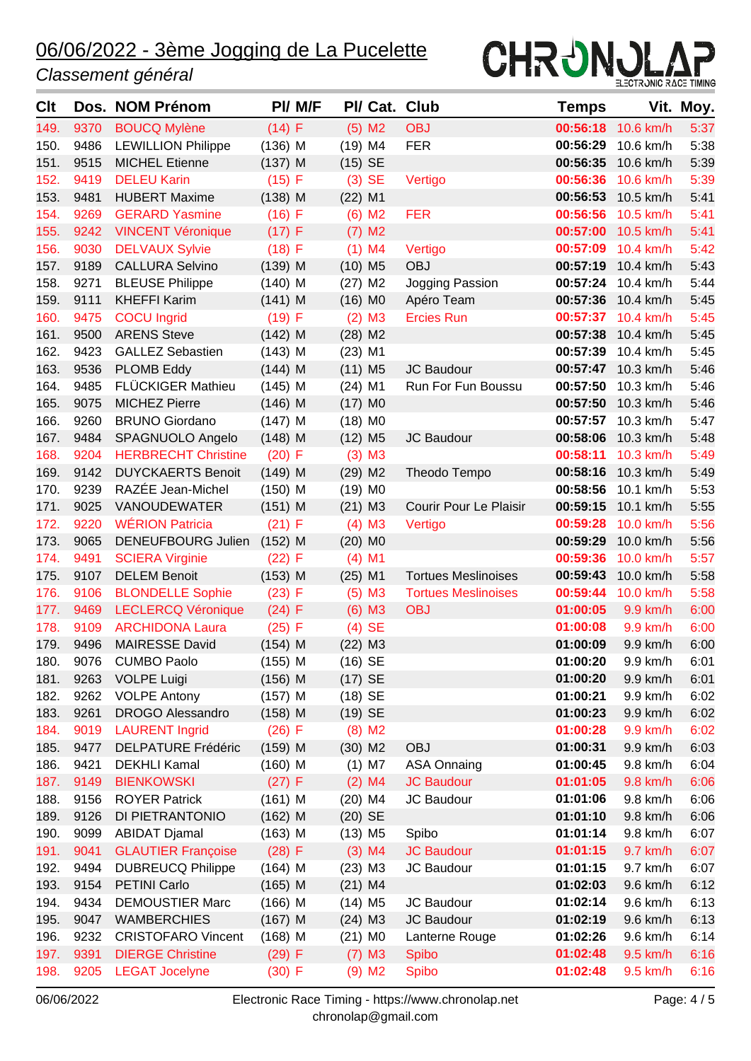#### *Classement général*



| Clt  |      | Dos. NOM Prénom            |           | PI/ M/F |                       |                      | PI/ Cat. Club              | Temps    |                    | Vit. Moy. |
|------|------|----------------------------|-----------|---------|-----------------------|----------------------|----------------------------|----------|--------------------|-----------|
| 149. | 9370 | <b>BOUCQ Mylène</b>        | (14) F    |         |                       | $(5)$ M2             | <b>OBJ</b>                 |          | 00:56:18 10.6 km/h | 5:37      |
| 150. | 9486 | <b>LEWILLION Philippe</b>  | $(136)$ M |         | $(19)$ M4             |                      | <b>FER</b>                 | 00:56:29 | 10.6 km/h          | 5:38      |
| 151. | 9515 | <b>MICHEL Etienne</b>      | $(137)$ M |         | $(15)$ SE             |                      |                            | 00:56:35 | 10.6 km/h          | 5:39      |
| 152. | 9419 | <b>DELEU Karin</b>         | $(15)$ F  |         |                       | $(3)$ SE             | Vertigo                    | 00:56:36 | 10.6 km/h          | 5:39      |
| 153. | 9481 | <b>HUBERT Maxime</b>       | $(138)$ M |         | $(22)$ M1             |                      |                            |          | 00:56:53 10.5 km/h | 5:41      |
| 154. | 9269 | <b>GERARD Yasmine</b>      | $(16)$ F  |         |                       | $(6)$ M <sub>2</sub> | <b>FER</b>                 | 00:56:56 | 10.5 km/h          | 5:41      |
| 155. | 9242 | <b>VINCENT Véronique</b>   | (17) F    |         |                       | $(7)$ M <sub>2</sub> |                            | 00:57:00 | 10.5 km/h          | 5:41      |
| 156. | 9030 | <b>DELVAUX Sylvie</b>      | (18) F    |         |                       | $(1)$ M4             | Vertigo                    | 00:57:09 | 10.4 km/h          | 5:42      |
| 157. | 9189 | <b>CALLURA Selvino</b>     | $(139)$ M |         | $(10)$ M <sub>5</sub> |                      | <b>OBJ</b>                 | 00:57:19 | 10.4 km/h          | 5:43      |
| 158. | 9271 | <b>BLEUSE Philippe</b>     | $(140)$ M |         | $(27)$ M2             |                      | Jogging Passion            | 00:57:24 | 10.4 km/h          | 5:44      |
| 159. | 9111 | <b>KHEFFI Karim</b>        | $(141)$ M |         | $(16)$ MO             |                      | Apéro Team                 | 00:57:36 | 10.4 km/h          | 5:45      |
| 160. | 9475 | <b>COCU</b> Ingrid         | (19) F    |         |                       | $(2)$ M3             | <b>Ercies Run</b>          | 00:57:37 | 10.4 km/h          | 5:45      |
| 161. | 9500 | <b>ARENS Steve</b>         | $(142)$ M |         | $(28)$ M2             |                      |                            | 00:57:38 | 10.4 km/h          | 5:45      |
| 162. | 9423 | <b>GALLEZ Sebastien</b>    | $(143)$ M |         | $(23)$ M1             |                      |                            | 00:57:39 | 10.4 km/h          | 5:45      |
| 163. | 9536 | <b>PLOMB Eddy</b>          | $(144)$ M |         | $(11)$ M <sub>5</sub> |                      | JC Baudour                 | 00:57:47 | 10.3 km/h          | 5:46      |
| 164. | 9485 | <b>FLÜCKIGER Mathieu</b>   | $(145)$ M |         | $(24)$ M1             |                      | Run For Fun Boussu         | 00:57:50 | 10.3 km/h          | 5:46      |
| 165. | 9075 | <b>MICHEZ Pierre</b>       | $(146)$ M |         | $(17)$ MO             |                      |                            | 00:57:50 | 10.3 km/h          | 5:46      |
| 166. | 9260 | <b>BRUNO Giordano</b>      | $(147)$ M |         | $(18)$ MO             |                      |                            | 00:57:57 | 10.3 km/h          | 5:47      |
| 167. | 9484 | SPAGNUOLO Angelo           | $(148)$ M |         | $(12)$ M <sub>5</sub> |                      | JC Baudour                 | 00:58:06 | 10.3 km/h          | 5:48      |
| 168. | 9204 | <b>HERBRECHT Christine</b> | $(20)$ F  |         |                       | $(3)$ M3             |                            | 00:58:11 | 10.3 km/h          | 5:49      |
| 169. | 9142 | <b>DUYCKAERTS Benoit</b>   | $(149)$ M |         | $(29)$ M2             |                      | Theodo Tempo               | 00:58:16 | 10.3 km/h          | 5:49      |
| 170. | 9239 | RAZÉE Jean-Michel          | $(150)$ M |         | $(19)$ MO             |                      |                            | 00:58:56 | 10.1 km/h          | 5:53      |
| 171. | 9025 | VANOUDEWATER               | $(151)$ M |         | $(21)$ M3             |                      | Courir Pour Le Plaisir     |          | 00:59:15 10.1 km/h | 5:55      |
| 172. | 9220 | <b>WÉRION Patricia</b>     | (21) F    |         |                       | $(4)$ M3             | Vertigo                    | 00:59:28 | 10.0 km/h          | 5:56      |
| 173. | 9065 | DENEUFBOURG Julien         | $(152)$ M |         | $(20)$ M <sub>0</sub> |                      |                            | 00:59:29 | 10.0 km/h          | 5:56      |
| 174. | 9491 | <b>SCIERA Virginie</b>     | (22) F    |         |                       | $(4)$ M1             |                            | 00:59:36 | 10.0 km/h          | 5:57      |
| 175. | 9107 | <b>DELEM Benoit</b>        | $(153)$ M |         | $(25)$ M1             |                      | <b>Tortues Meslinoises</b> | 00:59:43 | 10.0 km/h          | 5:58      |
| 176. | 9106 | <b>BLONDELLE Sophie</b>    | $(23)$ F  |         |                       | $(5)$ M3             | <b>Tortues Meslinoises</b> | 00:59:44 | 10.0 km/h          | 5:58      |
| 177. | 9469 | <b>LECLERCQ Véronique</b>  | (24) F    |         |                       | $(6)$ M3             | <b>OBJ</b>                 | 01:00:05 | 9.9 km/h           | 6:00      |
| 178. | 9109 | <b>ARCHIDONA Laura</b>     | $(25)$ F  |         |                       | $(4)$ SE             |                            | 01:00:08 | 9.9 km/h           | 6:00      |
| 179. | 9496 | <b>MAIRESSE David</b>      | $(154)$ M |         | $(22)$ M3             |                      |                            | 01:00:09 | 9.9 km/h           | 6:00      |
| 180. | 9076 | <b>CUMBO Paolo</b>         | $(155)$ M |         | $(16)$ SE             |                      |                            | 01:00:20 | 9.9 km/h           | 6:01      |
| 181. | 9263 | <b>VOLPE Luigi</b>         | $(156)$ M |         | $(17)$ SE             |                      |                            | 01:00:20 | 9.9 km/h           | 6:01      |
| 182. | 9262 | <b>VOLPE Antony</b>        | $(157)$ M |         | $(18)$ SE             |                      |                            | 01:00:21 | 9.9 km/h           | 6:02      |
| 183. | 9261 | <b>DROGO Alessandro</b>    | $(158)$ M |         | $(19)$ SE             |                      |                            | 01:00:23 | 9.9 km/h           | 6:02      |
| 184. | 9019 | <b>LAURENT Ingrid</b>      | $(26)$ F  |         |                       | $(8)$ M <sub>2</sub> |                            | 01:00:28 | 9.9 km/h           | 6:02      |
| 185. | 9477 | <b>DELPATURE Frédéric</b>  | $(159)$ M |         | $(30)$ M2             |                      | <b>OBJ</b>                 | 01:00:31 | 9.9 km/h           | 6:03      |
| 186. | 9421 | <b>DEKHLI Kamal</b>        | $(160)$ M |         |                       | $(1)$ M7             | <b>ASA Onnaing</b>         | 01:00:45 | 9.8 km/h           | 6:04      |
| 187. | 9149 | <b>BIENKOWSKI</b>          | (27) F    |         |                       | $(2)$ M4             | <b>JC Baudour</b>          | 01:01:05 | 9.8 km/h           | 6:06      |
| 188. | 9156 | <b>ROYER Patrick</b>       | $(161)$ M |         | $(20)$ M4             |                      | JC Baudour                 | 01:01:06 | 9.8 km/h           | 6:06      |
| 189. | 9126 | DI PIETRANTONIO            | $(162)$ M |         | $(20)$ SE             |                      |                            | 01:01:10 | 9.8 km/h           | 6:06      |
| 190. | 9099 | <b>ABIDAT Djamal</b>       | $(163)$ M |         | $(13)$ M <sub>5</sub> |                      | Spibo                      | 01:01:14 | 9.8 km/h           | 6:07      |
| 191. | 9041 | <b>GLAUTIER Françoise</b>  | (28) F    |         |                       | $(3)$ M4             | <b>JC Baudour</b>          | 01:01:15 | 9.7 km/h           | 6:07      |
| 192. | 9494 | <b>DUBREUCQ Philippe</b>   | $(164)$ M |         | $(23)$ M3             |                      | JC Baudour                 | 01:01:15 | 9.7 km/h           | 6:07      |
| 193. | 9154 | <b>PETINI Carlo</b>        | $(165)$ M |         | $(21)$ M4             |                      |                            | 01:02:03 | 9.6 km/h           | 6:12      |
| 194. | 9434 | <b>DEMOUSTIER Marc</b>     | $(166)$ M |         | $(14)$ M <sub>5</sub> |                      | JC Baudour                 | 01:02:14 | 9.6 km/h           | 6:13      |
| 195. | 9047 | <b>WAMBERCHIES</b>         | $(167)$ M |         | $(24)$ M3             |                      | JC Baudour                 | 01:02:19 | 9.6 km/h           | 6:13      |
| 196. | 9232 | <b>CRISTOFARO Vincent</b>  | $(168)$ M |         | $(21)$ MO             |                      | Lanterne Rouge             | 01:02:26 | 9.6 km/h           | 6:14      |
| 197. | 9391 | <b>DIERGE Christine</b>    | $(29)$ F  |         |                       | $(7)$ M3             | Spibo                      | 01:02:48 | 9.5 km/h           | 6:16      |
| 198. | 9205 | <b>LEGAT Jocelyne</b>      | $(30)$ F  |         |                       | $(9)$ M <sub>2</sub> | <b>Spibo</b>               | 01:02:48 | 9.5 km/h           | 6:16      |
|      |      |                            |           |         |                       |                      |                            |          |                    |           |